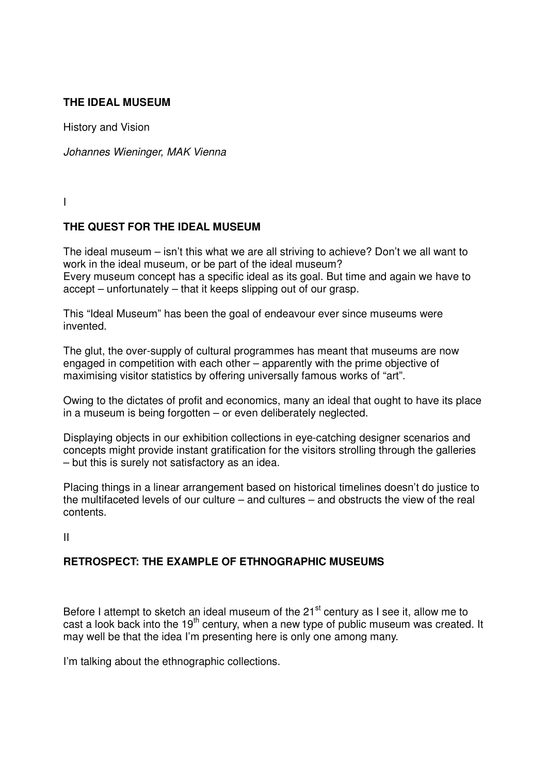## **THE IDEAL MUSEUM**

History and Vision

*Johannes Wieninger, MAK Vienna*

I

### **THE QUEST FOR THE IDEAL MUSEUM**

The ideal museum – isn't this what we are all striving to achieve? Don't we all want to work in the ideal museum, or be part of the ideal museum? Every museum concept has a specific ideal as its goal. But time and again we have to accept – unfortunately – that it keeps slipping out of our grasp.

This "Ideal Museum" has been the goal of endeavour ever since museums were invented.

The glut, the over-supply of cultural programmes has meant that museums are now engaged in competition with each other – apparently with the prime objective of maximising visitor statistics by offering universally famous works of "art".

Owing to the dictates of profit and economics, many an ideal that ought to have its place in a museum is being forgotten – or even deliberately neglected.

Displaying objects in our exhibition collections in eye-catching designer scenarios and concepts might provide instant gratification for the visitors strolling through the galleries – but this is surely not satisfactory as an idea.

Placing things in a linear arrangement based on historical timelines doesn't do justice to the multifaceted levels of our culture – and cultures – and obstructs the view of the real contents.

II

## **RETROSPECT: THE EXAMPLE OF ETHNOGRAPHIC MUSEUMS**

Before I attempt to sketch an ideal museum of the 21<sup>st</sup> century as I see it, allow me to cast a look back into the  $19<sup>th</sup>$  century, when a new type of public museum was created. It may well be that the idea I'm presenting here is only one among many.

I'm talking about the ethnographic collections.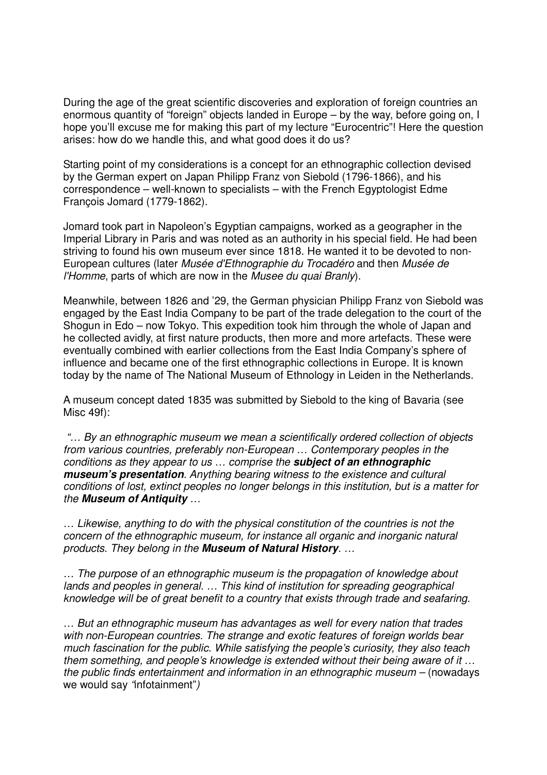During the age of the great scientific discoveries and exploration of foreign countries an enormous quantity of "foreign" objects landed in Europe – by the way, before going on, I hope you'll excuse me for making this part of my lecture "Eurocentric"! Here the question arises: how do we handle this, and what good does it do us?

Starting point of my considerations is a concept for an ethnographic collection devised by the German expert on Japan Philipp Franz von Siebold (1796-1866), and his correspondence – well-known to specialists – with the French Egyptologist Edme François Jomard (1779-1862).

Jomard took part in Napoleon's Egyptian campaigns, worked as a geographer in the Imperial Library in Paris and was noted as an authority in his special field. He had been striving to found his own museum ever since 1818. He wanted it to be devoted to non-European cultures (later *Musée d'Ethnographie du Trocadéro* and then *Musée de l'Homme*, parts of which are now in the *Musee du quai Branly*).

Meanwhile, between 1826 and '29, the German physician Philipp Franz von Siebold was engaged by the East India Company to be part of the trade delegation to the court of the Shogun in Edo – now Tokyo. This expedition took him through the whole of Japan and he collected avidly, at first nature products, then more and more artefacts. These were eventually combined with earlier collections from the East India Company's sphere of influence and became one of the first ethnographic collections in Europe. It is known today by the name of The National Museum of Ethnology in Leiden in the Netherlands.

A museum concept dated 1835 was submitted by Siebold to the king of Bavaria (see Misc 49f):

 *"… By an ethnographic museum we mean a scientifically ordered collection of objects from various countries, preferably non-European … Contemporary peoples in the conditions as they appear to us … comprise the* **subject of an ethnographic museum's presentation***. Anything bearing witness to the existence and cultural conditions of lost, extinct peoples no longer belongs in this institution, but is a matter for the* **Museum of Antiquity** *…* 

*… Likewise, anything to do with the physical constitution of the countries is not the concern of the ethnographic museum, for instance all organic and inorganic natural products. They belong in the* **Museum of Natural History***. …*

*… The purpose of an ethnographic museum is the propagation of knowledge about lands and peoples in general. … This kind of institution for spreading geographical knowledge will be of great benefit to a country that exists through trade and seafaring.* 

*… But an ethnographic museum has advantages as well for every nation that trades with non-European countries. The strange and exotic features of foreign worlds bear much fascination for the public. While satisfying the people's curiosity, they also teach them something, and people's knowledge is extended without their being aware of it … the public finds entertainment and information in an ethnographic museum – (nowadays* we would say *"*infotainment"*)*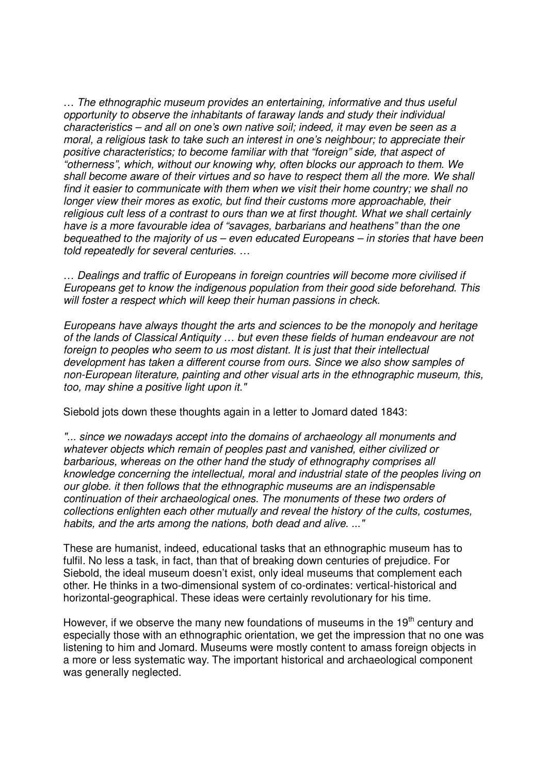*… The ethnographic museum provides an entertaining, informative and thus useful opportunity to observe the inhabitants of faraway lands and study their individual characteristics – and all on one's own native soil; indeed, it may even be seen as a moral, a religious task to take such an interest in one's neighbour; to appreciate their positive characteristics; to become familiar with that "foreign" side, that aspect of "otherness", which, without our knowing why, often blocks our approach to them. We shall become aware of their virtues and so have to respect them all the more. We shall find it easier to communicate with them when we visit their home country; we shall no longer view their mores as exotic, but find their customs more approachable, their religious cult less of a contrast to ours than we at first thought. What we shall certainly have is a more favourable idea of "savages, barbarians and heathens" than the one bequeathed to the majority of us – even educated Europeans – in stories that have been told repeatedly for several centuries. …*

*… Dealings and traffic of Europeans in foreign countries will become more civilised if Europeans get to know the indigenous population from their good side beforehand. This will foster a respect which will keep their human passions in check.* 

*Europeans have always thought the arts and sciences to be the monopoly and heritage of the lands of Classical Antiquity … but even these fields of human endeavour are not foreign to peoples who seem to us most distant. It is just that their intellectual development has taken a different course from ours. Since we also show samples of non-European literature, painting and other visual arts in the ethnographic museum, this, too, may shine a positive light upon it."* 

Siebold jots down these thoughts again in a letter to Jomard dated 1843:

*"... since we nowadays accept into the domains of archaeology all monuments and whatever objects which remain of peoples past and vanished, either civilized or barbarious, whereas on the other hand the study of ethnography comprises all knowledge concerning the intellectual, moral and industrial state of the peoples living on our globe. it then follows that the ethnographic museums are an indispensable continuation of their archaeological ones. The monuments of these two orders of collections enlighten each other mutually and reveal the history of the cults, costumes, habits, and the arts among the nations, both dead and alive. ..."* 

These are humanist, indeed, educational tasks that an ethnographic museum has to fulfil. No less a task, in fact, than that of breaking down centuries of prejudice. For Siebold, the ideal museum doesn't exist, only ideal museums that complement each other. He thinks in a two-dimensional system of co-ordinates: vertical-historical and horizontal-geographical. These ideas were certainly revolutionary for his time.

However, if we observe the many new foundations of museums in the 19<sup>th</sup> century and especially those with an ethnographic orientation, we get the impression that no one was listening to him and Jomard. Museums were mostly content to amass foreign objects in a more or less systematic way. The important historical and archaeological component was generally neglected.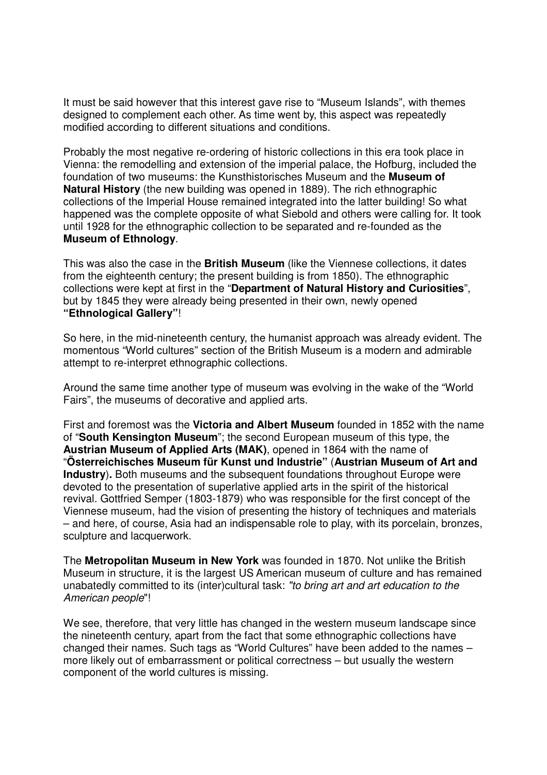It must be said however that this interest gave rise to "Museum Islands", with themes designed to complement each other. As time went by, this aspect was repeatedly modified according to different situations and conditions.

Probably the most negative re-ordering of historic collections in this era took place in Vienna: the remodelling and extension of the imperial palace, the Hofburg, included the foundation of two museums: the Kunsthistorisches Museum and the **Museum of Natural History** (the new building was opened in 1889). The rich ethnographic collections of the Imperial House remained integrated into the latter building! So what happened was the complete opposite of what Siebold and others were calling for. It took until 1928 for the ethnographic collection to be separated and re-founded as the **Museum of Ethnology**.

This was also the case in the **British Museum** (like the Viennese collections, it dates from the eighteenth century; the present building is from 1850). The ethnographic collections were kept at first in the "**Department of Natural History and Curiosities**", but by 1845 they were already being presented in their own, newly opened **"Ethnological Gallery"**!

So here, in the mid-nineteenth century, the humanist approach was already evident. The momentous "World cultures" section of the British Museum is a modern and admirable attempt to re-interpret ethnographic collections.

Around the same time another type of museum was evolving in the wake of the "World Fairs", the museums of decorative and applied arts.

First and foremost was the **Victoria and Albert Museum** founded in 1852 with the name of "**South Kensington Museum**"; the second European museum of this type, the **Austrian Museum of Applied Arts (MAK)**, opened in 1864 with the name of "**Österreichisches Museum für Kunst und Industrie"** (**Austrian Museum of Art and Industry**). Both museums and the subsequent foundations throughout Europe were devoted to the presentation of superlative applied arts in the spirit of the historical revival. Gottfried Semper (1803-1879) who was responsible for the first concept of the Viennese museum, had the vision of presenting the history of techniques and materials – and here, of course, Asia had an indispensable role to play, with its porcelain, bronzes, sculpture and lacquerwork.

The **Metropolitan Museum in New York** was founded in 1870. Not unlike the British Museum in structure, it is the largest US American museum of culture and has remained unabatedly committed to its (inter)cultural task: *"to bring art and art education to the American people*"!

We see, therefore, that very little has changed in the western museum landscape since the nineteenth century, apart from the fact that some ethnographic collections have changed their names. Such tags as "World Cultures" have been added to the names – more likely out of embarrassment or political correctness – but usually the western component of the world cultures is missing.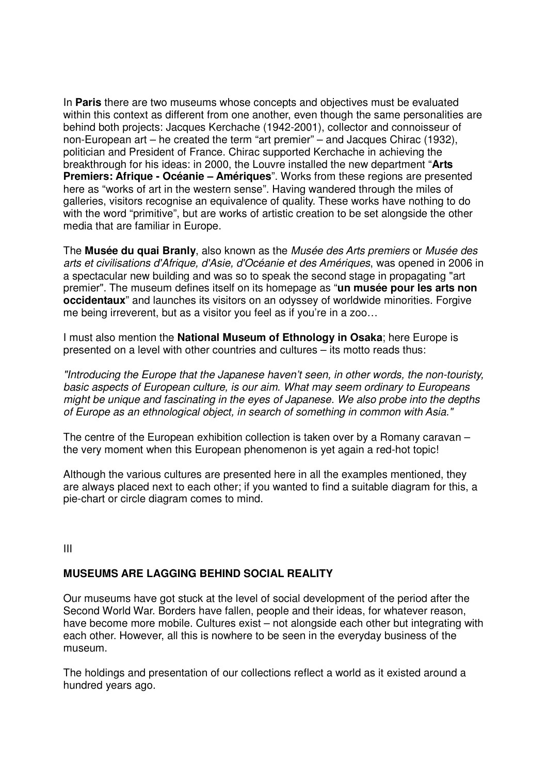In **Paris** there are two museums whose concepts and objectives must be evaluated within this context as different from one another, even though the same personalities are behind both projects: Jacques Kerchache (1942-2001), collector and connoisseur of non-European art – he created the term "art premier" – and Jacques Chirac (1932), politician and President of France. Chirac supported Kerchache in achieving the breakthrough for his ideas: in 2000, the Louvre installed the new department "**Arts Premiers: Afrique - Océanie – Amériques**". Works from these regions are presented here as "works of art in the western sense". Having wandered through the miles of galleries, visitors recognise an equivalence of quality. These works have nothing to do with the word "primitive", but are works of artistic creation to be set alongside the other media that are familiar in Europe.

The **Musée du quai Branly**, also known as the *Musée des Arts premiers* or *Musée des arts et civilisations d'Afrique, d'Asie, d'Océanie et des Amériques*, was opened in 2006 in a spectacular new building and was so to speak the second stage in propagating "art premier". The museum defines itself on its homepage as "**un musée pour les arts non occidentaux**" and launches its visitors on an odyssey of worldwide minorities. Forgive me being irreverent, but as a visitor you feel as if you're in a zoo…

I must also mention the **National Museum of Ethnology in Osaka**; here Europe is presented on a level with other countries and cultures – its motto reads thus:

*"Introducing the Europe that the Japanese haven't seen, in other words, the non-touristy, basic aspects of European culture, is our aim. What may seem ordinary to Europeans might be unique and fascinating in the eyes of Japanese. We also probe into the depths of Europe as an ethnological object, in search of something in common with Asia."*

The centre of the European exhibition collection is taken over by a Romany caravan – the very moment when this European phenomenon is yet again a red-hot topic!

Although the various cultures are presented here in all the examples mentioned, they are always placed next to each other; if you wanted to find a suitable diagram for this, a pie-chart or circle diagram comes to mind.

III

# **MUSEUMS ARE LAGGING BEHIND SOCIAL REALITY**

Our museums have got stuck at the level of social development of the period after the Second World War. Borders have fallen, people and their ideas, for whatever reason, have become more mobile. Cultures exist – not alongside each other but integrating with each other. However, all this is nowhere to be seen in the everyday business of the museum.

The holdings and presentation of our collections reflect a world as it existed around a hundred years ago.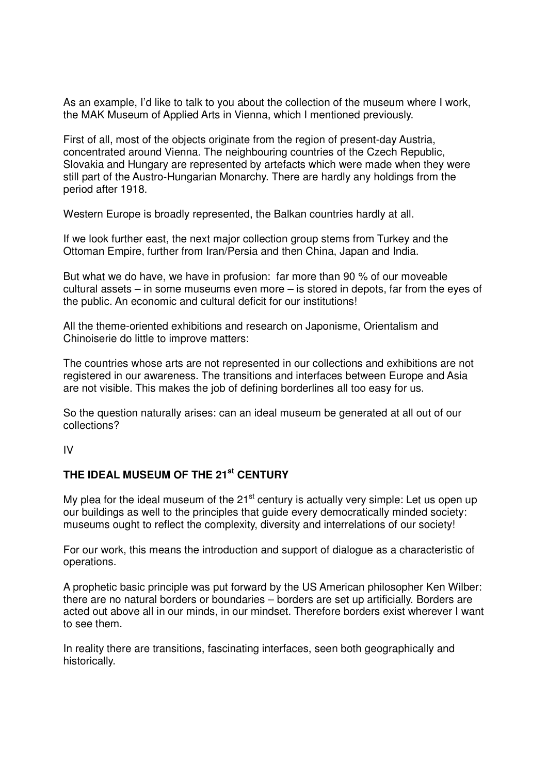As an example, I'd like to talk to you about the collection of the museum where I work, the MAK Museum of Applied Arts in Vienna, which I mentioned previously.

First of all, most of the objects originate from the region of present-day Austria, concentrated around Vienna. The neighbouring countries of the Czech Republic, Slovakia and Hungary are represented by artefacts which were made when they were still part of the Austro-Hungarian Monarchy. There are hardly any holdings from the period after 1918.

Western Europe is broadly represented, the Balkan countries hardly at all.

If we look further east, the next major collection group stems from Turkey and the Ottoman Empire, further from Iran/Persia and then China, Japan and India.

But what we do have, we have in profusion: far more than 90 % of our moveable cultural assets – in some museums even more – is stored in depots, far from the eyes of the public. An economic and cultural deficit for our institutions!

All the theme-oriented exhibitions and research on Japonisme, Orientalism and Chinoiserie do little to improve matters:

The countries whose arts are not represented in our collections and exhibitions are not registered in our awareness. The transitions and interfaces between Europe and Asia are not visible. This makes the job of defining borderlines all too easy for us.

So the question naturally arises: can an ideal museum be generated at all out of our collections?

IV

## **THE IDEAL MUSEUM OF THE 21st CENTURY**

My plea for the ideal museum of the  $21<sup>st</sup>$  century is actually very simple: Let us open up our buildings as well to the principles that guide every democratically minded society: museums ought to reflect the complexity, diversity and interrelations of our society!

For our work, this means the introduction and support of dialogue as a characteristic of operations.

A prophetic basic principle was put forward by the US American philosopher Ken Wilber: there are no natural borders or boundaries – borders are set up artificially. Borders are acted out above all in our minds, in our mindset. Therefore borders exist wherever I want to see them.

In reality there are transitions, fascinating interfaces, seen both geographically and historically.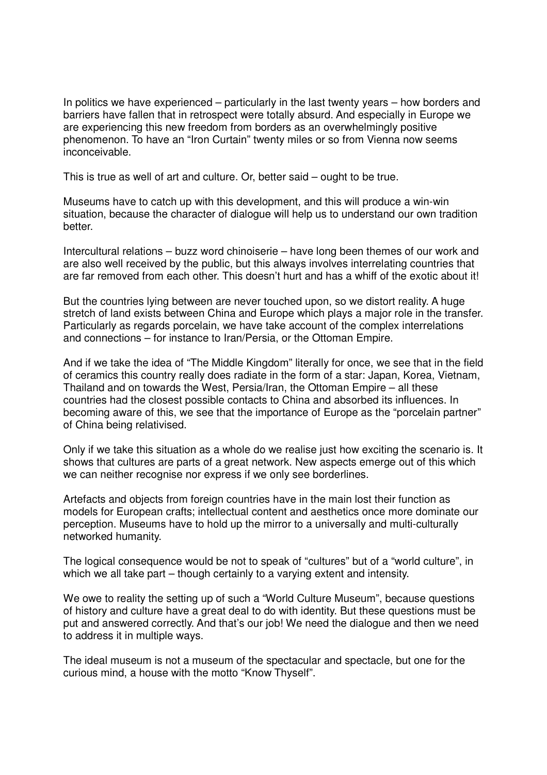In politics we have experienced – particularly in the last twenty years – how borders and barriers have fallen that in retrospect were totally absurd. And especially in Europe we are experiencing this new freedom from borders as an overwhelmingly positive phenomenon. To have an "Iron Curtain" twenty miles or so from Vienna now seems inconceivable.

This is true as well of art and culture. Or, better said – ought to be true.

Museums have to catch up with this development, and this will produce a win-win situation, because the character of dialogue will help us to understand our own tradition better.

Intercultural relations – buzz word chinoiserie – have long been themes of our work and are also well received by the public, but this always involves interrelating countries that are far removed from each other. This doesn't hurt and has a whiff of the exotic about it!

But the countries lying between are never touched upon, so we distort reality. A huge stretch of land exists between China and Europe which plays a major role in the transfer. Particularly as regards porcelain, we have take account of the complex interrelations and connections – for instance to Iran/Persia, or the Ottoman Empire.

And if we take the idea of "The Middle Kingdom" literally for once, we see that in the field of ceramics this country really does radiate in the form of a star: Japan, Korea, Vietnam, Thailand and on towards the West, Persia/Iran, the Ottoman Empire – all these countries had the closest possible contacts to China and absorbed its influences. In becoming aware of this, we see that the importance of Europe as the "porcelain partner" of China being relativised.

Only if we take this situation as a whole do we realise just how exciting the scenario is. It shows that cultures are parts of a great network. New aspects emerge out of this which we can neither recognise nor express if we only see borderlines.

Artefacts and objects from foreign countries have in the main lost their function as models for European crafts; intellectual content and aesthetics once more dominate our perception. Museums have to hold up the mirror to a universally and multi-culturally networked humanity.

The logical consequence would be not to speak of "cultures" but of a "world culture", in which we all take part – though certainly to a varying extent and intensity.

We owe to reality the setting up of such a "World Culture Museum", because questions of history and culture have a great deal to do with identity. But these questions must be put and answered correctly. And that's our job! We need the dialogue and then we need to address it in multiple ways.

The ideal museum is not a museum of the spectacular and spectacle, but one for the curious mind, a house with the motto "Know Thyself".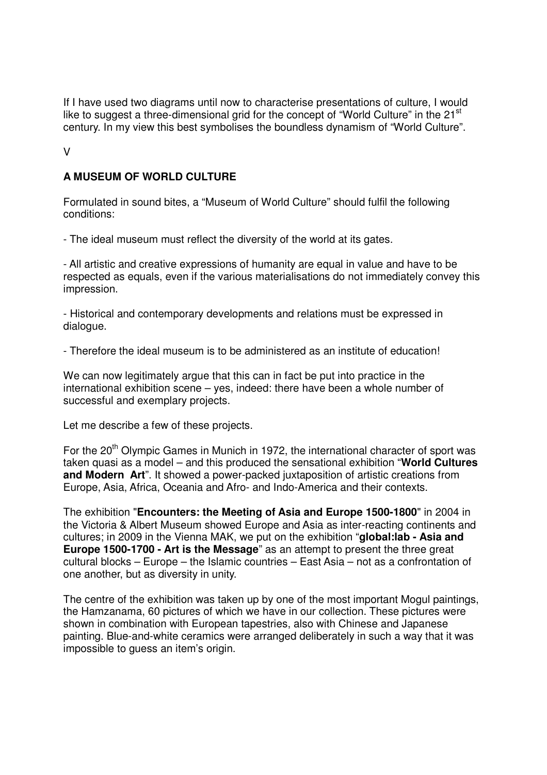If I have used two diagrams until now to characterise presentations of culture, I would like to suggest a three-dimensional grid for the concept of "World Culture" in the 21<sup>st</sup> century. In my view this best symbolises the boundless dynamism of "World Culture".

V

### **A MUSEUM OF WORLD CULTURE**

Formulated in sound bites, a "Museum of World Culture" should fulfil the following conditions:

- The ideal museum must reflect the diversity of the world at its gates.

- All artistic and creative expressions of humanity are equal in value and have to be respected as equals, even if the various materialisations do not immediately convey this impression.

- Historical and contemporary developments and relations must be expressed in dialogue.

- Therefore the ideal museum is to be administered as an institute of education!

We can now legitimately argue that this can in fact be put into practice in the international exhibition scene – yes, indeed: there have been a whole number of successful and exemplary projects.

Let me describe a few of these projects.

For the  $20<sup>th</sup>$  Olympic Games in Munich in 1972, the international character of sport was taken quasi as a model – and this produced the sensational exhibition "**World Cultures and Modern Art**". It showed a power-packed juxtaposition of artistic creations from Europe, Asia, Africa, Oceania and Afro- and Indo-America and their contexts.

The exhibition "**Encounters: the Meeting of Asia and Europe 1500-1800**" in 2004 in the Victoria & Albert Museum showed Europe and Asia as inter-reacting continents and cultures; in 2009 in the Vienna MAK, we put on the exhibition "**global:lab - Asia and Europe 1500-1700 - Art is the Message**" as an attempt to present the three great cultural blocks – Europe – the Islamic countries – East Asia – not as a confrontation of one another, but as diversity in unity.

The centre of the exhibition was taken up by one of the most important Mogul paintings, the Hamzanama, 60 pictures of which we have in our collection. These pictures were shown in combination with European tapestries, also with Chinese and Japanese painting. Blue-and-white ceramics were arranged deliberately in such a way that it was impossible to guess an item's origin.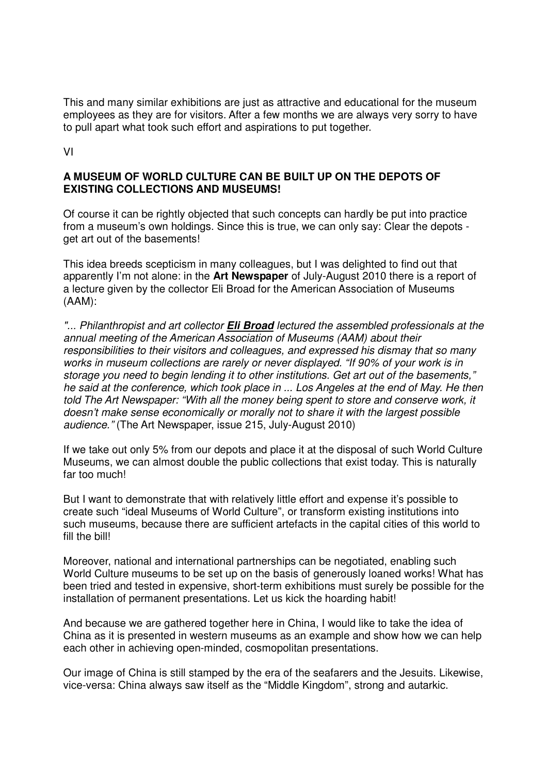This and many similar exhibitions are just as attractive and educational for the museum employees as they are for visitors. After a few months we are always very sorry to have to pull apart what took such effort and aspirations to put together.

VI

#### **A MUSEUM OF WORLD CULTURE CAN BE BUILT UP ON THE DEPOTS OF EXISTING COLLECTIONS AND MUSEUMS!**

Of course it can be rightly objected that such concepts can hardly be put into practice from a museum's own holdings. Since this is true, we can only say: Clear the depots get art out of the basements!

This idea breeds scepticism in many colleagues, but I was delighted to find out that apparently I'm not alone: in the **Art Newspaper** of July-August 2010 there is a report of a lecture given by the collector Eli Broad for the American Association of Museums (AAM):

*"... Philanthropist and art collector* **Eli Broad** *lectured the assembled professionals at the annual meeting of the American Association of Museums (AAM) about their responsibilities to their visitors and colleagues, and expressed his dismay that so many works in museum collections are rarely or never displayed. "If 90% of your work is in storage you need to begin lending it to other institutions. Get art out of the basements," he said at the conference, which took place in ... Los Angeles at the end of May. He then told The Art Newspaper: "With all the money being spent to store and conserve work, it doesn't make sense economically or morally not to share it with the largest possible audience."* (The Art Newspaper, issue 215, July-August 2010)

If we take out only 5% from our depots and place it at the disposal of such World Culture Museums, we can almost double the public collections that exist today. This is naturally far too much!

But I want to demonstrate that with relatively little effort and expense it's possible to create such "ideal Museums of World Culture", or transform existing institutions into such museums, because there are sufficient artefacts in the capital cities of this world to fill the bill!

Moreover, national and international partnerships can be negotiated, enabling such World Culture museums to be set up on the basis of generously loaned works! What has been tried and tested in expensive, short-term exhibitions must surely be possible for the installation of permanent presentations. Let us kick the hoarding habit!

And because we are gathered together here in China, I would like to take the idea of China as it is presented in western museums as an example and show how we can help each other in achieving open-minded, cosmopolitan presentations.

Our image of China is still stamped by the era of the seafarers and the Jesuits. Likewise, vice-versa: China always saw itself as the "Middle Kingdom", strong and autarkic.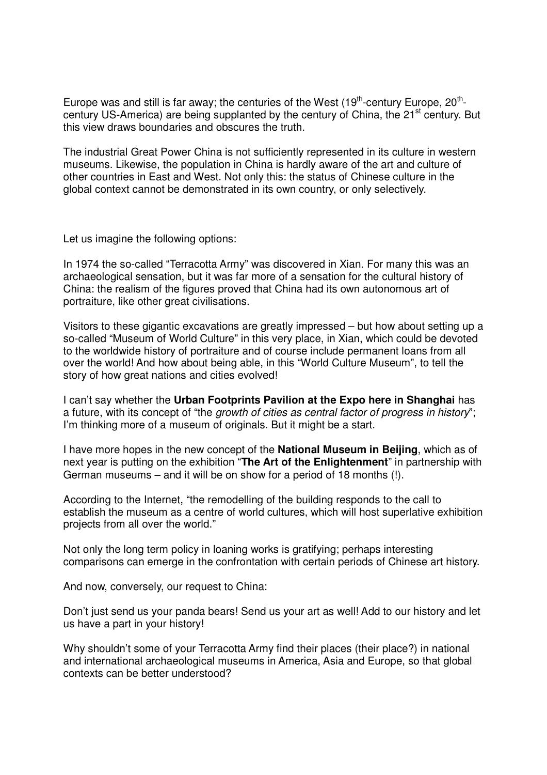Europe was and still is far away; the centuries of the West  $(19<sup>th</sup>-century Europe, 20<sup>th</sup>$ century US-America) are being supplanted by the century of China, the 21<sup>st</sup> century. But this view draws boundaries and obscures the truth.

The industrial Great Power China is not sufficiently represented in its culture in western museums. Likewise, the population in China is hardly aware of the art and culture of other countries in East and West. Not only this: the status of Chinese culture in the global context cannot be demonstrated in its own country, or only selectively.

Let us imagine the following options:

In 1974 the so-called "Terracotta Army" was discovered in Xian. For many this was an archaeological sensation, but it was far more of a sensation for the cultural history of China: the realism of the figures proved that China had its own autonomous art of portraiture, like other great civilisations.

Visitors to these gigantic excavations are greatly impressed – but how about setting up a so-called "Museum of World Culture" in this very place, in Xian, which could be devoted to the worldwide history of portraiture and of course include permanent loans from all over the world! And how about being able, in this "World Culture Museum", to tell the story of how great nations and cities evolved!

I can't say whether the **Urban Footprints Pavilion at the Expo here in Shanghai** has a future, with its concept of "the *growth of cities as central factor of progress in history*"; I'm thinking more of a museum of originals. But it might be a start.

I have more hopes in the new concept of the **National Museum in Beijing**, which as of next year is putting on the exhibition "**The Art of the Enlightenment**" in partnership with German museums – and it will be on show for a period of 18 months (!).

According to the Internet, "the remodelling of the building responds to the call to establish the museum as a centre of world cultures, which will host superlative exhibition projects from all over the world."

Not only the long term policy in loaning works is gratifying; perhaps interesting comparisons can emerge in the confrontation with certain periods of Chinese art history.

And now, conversely, our request to China:

Don't just send us your panda bears! Send us your art as well! Add to our history and let us have a part in your history!

Why shouldn't some of your Terracotta Army find their places (their place?) in national and international archaeological museums in America, Asia and Europe, so that global contexts can be better understood?